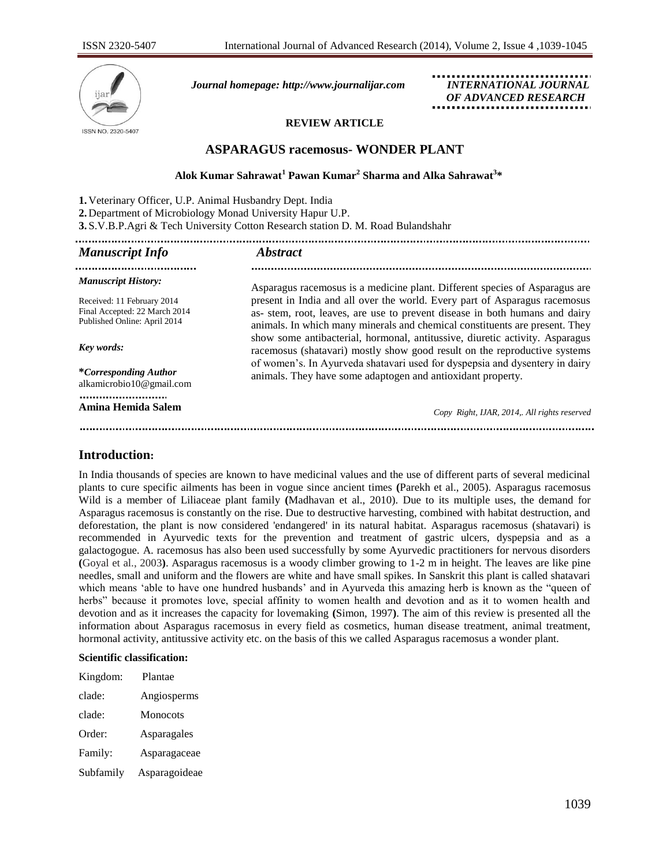

*Journal homepage: [http://www.journalijar.com](http://www.journalijar.com/) INTERNATIONAL JOURNAL*

 *OF ADVANCED RESEARCH*

# **REVIEW ARTICLE**

# **ASPARAGUS racemosus- WONDER PLANT**

# **Alok Kumar Sahrawat<sup>1</sup> Pawan Kumar<sup>2</sup> Sharma and Alka Sahrawat<sup>3</sup> \***

| 1. Veterinary Officer, U.P. Animal Husbandry Dept. India<br>2. Department of Microbiology Monad University Hapur U.P.<br>3. S.V.B.P. Agri & Tech University Cotton Research station D. M. Road Bulandshahr |                                                                                                                                                                                                                                          |  |  |
|------------------------------------------------------------------------------------------------------------------------------------------------------------------------------------------------------------|------------------------------------------------------------------------------------------------------------------------------------------------------------------------------------------------------------------------------------------|--|--|
| <b>Manuscript Info</b>                                                                                                                                                                                     | <b>Abstract</b>                                                                                                                                                                                                                          |  |  |
| <b>Manuscript History:</b>                                                                                                                                                                                 | Asparagus racemosus is a medicine plant. Different species of Asparagus are                                                                                                                                                              |  |  |
| Received: 11 February 2014<br>Final Accepted: 22 March 2014<br>Published Online: April 2014                                                                                                                | present in India and all over the world. Every part of Asparagus racemosus<br>as- stem, root, leaves, are use to prevent disease in both humans and dairy<br>animals. In which many minerals and chemical constituents are present. They |  |  |
| Key words:                                                                                                                                                                                                 | show some antibacterial, hormonal, antitussive, diuretic activity. Asparagus<br>racemosus (shatavari) mostly show good result on the reproductive systems                                                                                |  |  |
| <i>*Corresponding Author</i><br>alkamicrobio10@gmail.com                                                                                                                                                   | of women's. In Ayurveda shatavari used for dyspepsia and dysentery in dairy<br>animals. They have some adaptogen and antioxidant property.                                                                                               |  |  |
| Amina Hemida Salem                                                                                                                                                                                         | Copy Right, IJAR, 2014,. All rights reserved                                                                                                                                                                                             |  |  |
|                                                                                                                                                                                                            |                                                                                                                                                                                                                                          |  |  |

# **Introduction:**

In India thousands of species are known to have medicinal values and the use of different parts of several medicinal plants to cure specific ailments has been in vogue since ancient times **(**Parekh et al., 2005). Asparagus racemosus Wild is a member of Liliaceae plant family **(**Madhavan et al., 2010). Due to its multiple uses, the demand for Asparagus racemosus is constantly on the rise. Due to destructive harvesting, combined with habitat destruction, and deforestation, the plant is now considered 'endangered' in its natural habitat. Asparagus racemosus (shatavari) is recommended in Ayurvedic texts for the prevention and treatment of gastric ulcers, dyspepsia and as a galactogogue. A. racemosus has also been used successfully by some Ayurvedic practitioners for nervous disorders **(**Goyal et al., 2003**)**. Asparagus racemosus is a woody climber growing to 1-2 m in height. The leaves are like pine needles, small and uniform and the flowers are white and have small spikes. In Sanskrit this plant is called shatavari which means 'able to have one hundred husbands' and in Ayurveda this amazing herb is known as the "queen of herbs" because it promotes love, special affinity to women health and devotion and as it to women health and devotion and as it increases the capacity for lovemaking **(**Simon, 1997**)**. The aim of this review is presented all the information about Asparagus racemosus in every field as cosmetics, human disease treatment, animal treatment, hormonal activity, antitussive activity etc. on the basis of this we called Asparagus racemosus a wonder plant.

### **Scientific classification:**

| Kingdom:  | Plantae       |
|-----------|---------------|
| clade:    | Angiosperms   |
| clade:    | Monocots      |
| Order:    | Asparagales   |
| Family:   | Asparagaceae  |
| Subfamily | Asparagoideae |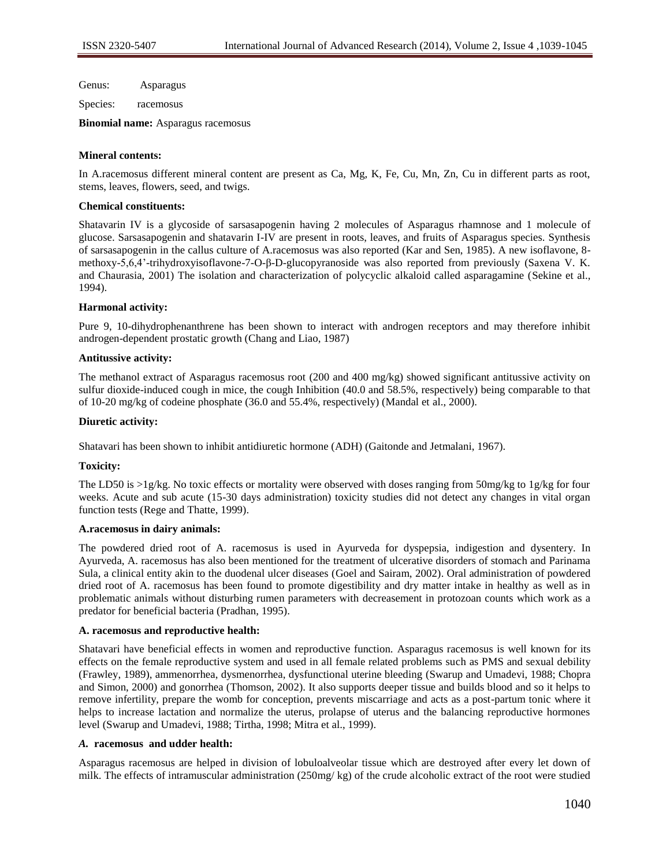Genus: Asparagus

Species: racemosus

**Binomial name:** Asparagus racemosus

## **Mineral contents:**

In A.racemosus different mineral content are present as Ca, Mg, K, Fe, Cu, Mn, Zn, Cu in different parts as root, stems, leaves, flowers, seed, and twigs.

## **Chemical constituents:**

Shatavarin IV is a glycoside of sarsasapogenin having 2 molecules of Asparagus rhamnose and 1 molecule of glucose. Sarsasapogenin and shatavarin I-IV are present in roots, leaves, and fruits of Asparagus species. Synthesis of sarsasapogenin in the callus culture of A.racemosus was also reported (Kar and Sen, 1985). A new isoflavone, 8 methoxy-5,6,4"-trihydroxyisoflavone-7-O-β-D-glucopyranoside was also reported from previously (Saxena V. K. and Chaurasia, 2001) The isolation and characterization of polycyclic alkaloid called asparagamine (Sekine et al., 1994).

## **Harmonal activity:**

Pure 9, 10-dihydrophenanthrene has been shown to interact with androgen receptors and may therefore inhibit androgen-dependent prostatic growth (Chang and Liao, 1987)

## **Antitussive activity:**

The methanol extract of Asparagus racemosus root (200 and 400 mg/kg) showed significant antitussive activity on sulfur dioxide-induced cough in mice, the cough Inhibition (40.0 and 58.5%, respectively) being comparable to that of 10-20 mg/kg of codeine phosphate (36.0 and 55.4%, respectively) (Mandal et al., 2000).

## **Diuretic activity:**

Shatavari has been shown to inhibit antidiuretic hormone (ADH) (Gaitonde and Jetmalani, 1967).

### **Toxicity:**

The LD50 is >1g/kg. No toxic effects or mortality were observed with doses ranging from 50mg/kg to 1g/kg for four weeks. Acute and sub acute (15-30 days administration) toxicity studies did not detect any changes in vital organ function tests (Rege and Thatte, 1999).

## **A.racemosus in dairy animals:**

The powdered dried root of A. racemosus is used in Ayurveda for dyspepsia, indigestion and dysentery. In Ayurveda, A. racemosus has also been mentioned for the treatment of ulcerative disorders of stomach and Parinama Sula, a clinical entity akin to the duodenal ulcer diseases (Goel and Sairam, 2002). Oral administration of powdered dried root of A. racemosus has been found to promote digestibility and dry matter intake in healthy as well as in problematic animals without disturbing rumen parameters with decreasement in protozoan counts which work as a predator for beneficial bacteria (Pradhan, 1995).

## **A. racemosus and reproductive health:**

Shatavari have beneficial effects in women and reproductive function. Asparagus racemosus is well known for its effects on the female reproductive system and used in all female related problems such as PMS and sexual debility (Frawley, 1989), ammenorrhea, dysmenorrhea, dysfunctional uterine bleeding (Swarup and Umadevi, 1988; Chopra and Simon, 2000) and gonorrhea (Thomson, 2002). It also supports deeper tissue and builds blood and so it helps to remove infertility, prepare the womb for conception, prevents miscarriage and acts as a post-partum tonic where it helps to increase lactation and normalize the uterus, prolapse of uterus and the balancing reproductive hormones level (Swarup and Umadevi, 1988; Tirtha, 1998; Mitra et al., 1999).

### *A.* **racemosus and udder health:**

Asparagus racemosus are helped in division of lobuloalveolar tissue which are destroyed after every let down of milk. The effects of intramuscular administration (250mg/ kg) of the crude alcoholic extract of the root were studied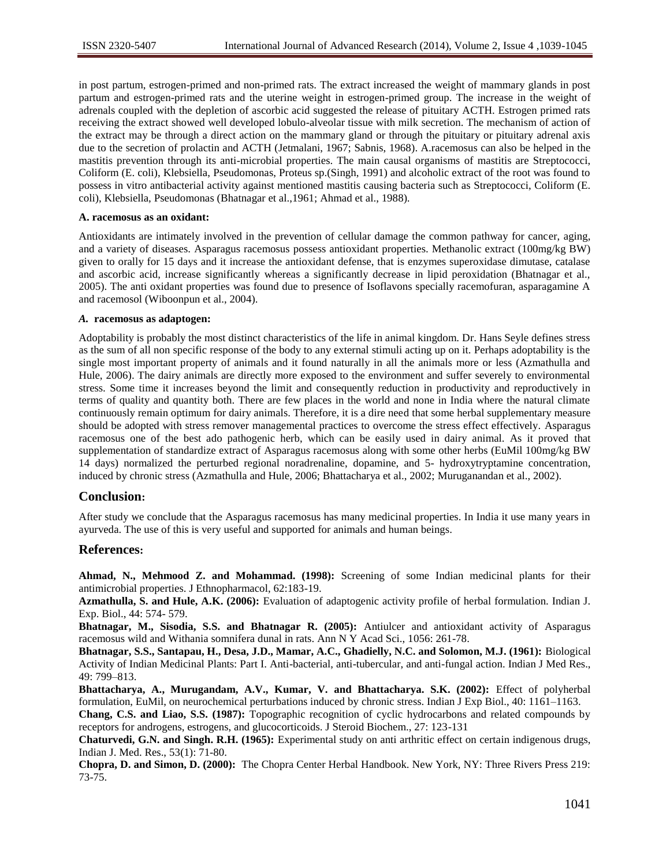in post partum, estrogen-primed and non-primed rats. The extract increased the weight of mammary glands in post partum and estrogen-primed rats and the uterine weight in estrogen-primed group. The increase in the weight of adrenals coupled with the depletion of ascorbic acid suggested the release of pituitary ACTH. Estrogen primed rats receiving the extract showed well developed lobulo-alveolar tissue with milk secretion. The mechanism of action of the extract may be through a direct action on the mammary gland or through the pituitary or pituitary adrenal axis due to the secretion of prolactin and ACTH (Jetmalani, 1967; Sabnis, 1968). A.racemosus can also be helped in the mastitis prevention through its anti-microbial properties. The main causal organisms of mastitis are Streptococci, Coliform (E. coli), Klebsiella, Pseudomonas, Proteus sp.(Singh, 1991) and alcoholic extract of the root was found to possess in vitro antibacterial activity against mentioned mastitis causing bacteria such as Streptococci, Coliform (E. coli), Klebsiella, Pseudomonas (Bhatnagar et al.,1961; Ahmad et al., 1988).

#### **A. racemosus as an oxidant:**

Antioxidants are intimately involved in the prevention of cellular damage the common pathway for cancer, aging, and a variety of diseases. Asparagus racemosus possess antioxidant properties. Methanolic extract (100mg/kg BW) given to orally for 15 days and it increase the antioxidant defense, that is enzymes superoxidase dimutase, catalase and ascorbic acid, increase significantly whereas a significantly decrease in lipid peroxidation (Bhatnagar et al., 2005). The anti oxidant properties was found due to presence of Isoflavons specially racemofuran, asparagamine A and racemosol (Wiboonpun et al., 2004).

### *A.* **racemosus as adaptogen:**

Adoptability is probably the most distinct characteristics of the life in animal kingdom. Dr. Hans Seyle defines stress as the sum of all non specific response of the body to any external stimuli acting up on it. Perhaps adoptability is the single most important property of animals and it found naturally in all the animals more or less (Azmathulla and Hule, 2006). The dairy animals are directly more exposed to the environment and suffer severely to environmental stress. Some time it increases beyond the limit and consequently reduction in productivity and reproductively in terms of quality and quantity both. There are few places in the world and none in India where the natural climate continuously remain optimum for dairy animals. Therefore, it is a dire need that some herbal supplementary measure should be adopted with stress remover managemental practices to overcome the stress effect effectively. Asparagus racemosus one of the best ado pathogenic herb, which can be easily used in dairy animal. As it proved that supplementation of standardize extract of Asparagus racemosus along with some other herbs (EuMil 100mg/kg BW 14 days) normalized the perturbed regional noradrenaline, dopamine, and 5- hydroxytryptamine concentration, induced by chronic stress (Azmathulla and Hule, 2006; Bhattacharya et al., 2002; Muruganandan et al., 2002).

# **Conclusion:**

After study we conclude that the Asparagus racemosus has many medicinal properties. In India it use many years in ayurveda. The use of this is very useful and supported for animals and human beings.

# **References:**

**Ahmad, N., Mehmood Z. and Mohammad. (1998):** Screening of some Indian medicinal plants for their antimicrobial properties. J Ethnopharmacol, 62:183-19.

**Azmathulla, S. and Hule, A.K. (2006):** Evaluation of adaptogenic activity profile of herbal formulation. Indian J. Exp. Biol., 44: 574- 579.

**Bhatnagar, M., Sisodia, S.S. and Bhatnagar R. (2005):** Antiulcer and antioxidant activity of Asparagus racemosus wild and Withania somnifera dunal in rats. Ann N Y Acad Sci., 1056: 261-78.

**Bhatnagar, S.S., Santapau, H., Desa, J.D., Mamar, A.C., Ghadielly, N.C. and Solomon, M.J. (1961):** Biological Activity of Indian Medicinal Plants: Part I. Anti-bacterial, anti-tubercular, and anti-fungal action. Indian J Med Res., 49: 799–813.

**Bhattacharya, A., Murugandam, A.V., Kumar, V. and Bhattacharya. S.K. (2002):** Effect of polyherbal formulation, EuMil, on neurochemical perturbations induced by chronic stress. Indian J Exp Biol., 40: 1161–1163.

**Chang, C.S. and Liao, S.S. (1987):** Topographic recognition of cyclic hydrocarbons and related compounds by receptors for androgens, estrogens, and glucocorticoids. J Steroid Biochem., 27: 123-131

**Chaturvedi, G.N. and Singh. R.H. (1965):** Experimental study on anti arthritic effect on certain indigenous drugs, Indian J. Med. Res., 53(1): 71-80.

**Chopra, D. and Simon, D. (2000):** The Chopra Center Herbal Handbook. New York, NY: Three Rivers Press 219: 73-75.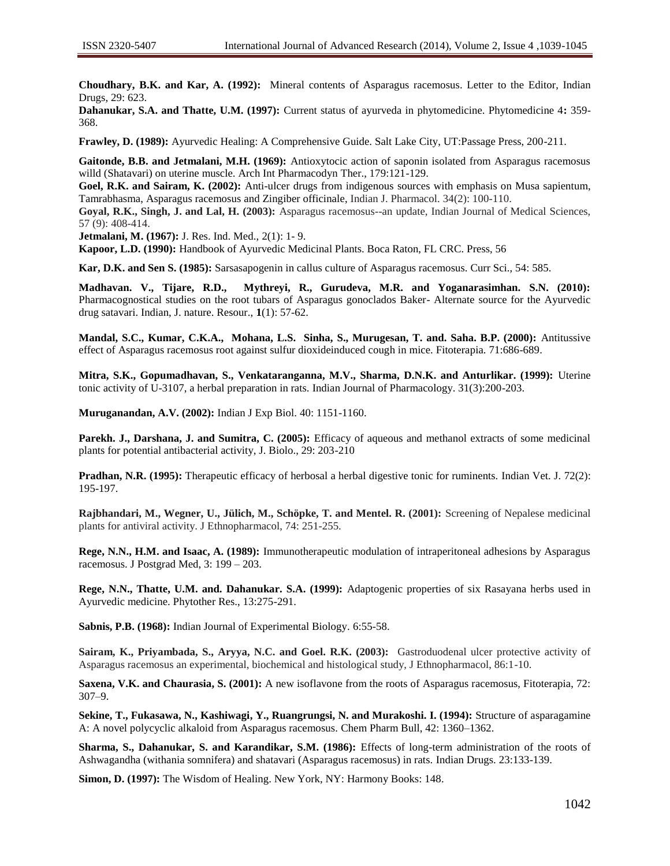**Choudhary, B.K. and Kar, A. (1992):** Mineral contents of Asparagus racemosus. Letter to the Editor, Indian Drugs, 29: 623.

**Dahanukar, S.A. and Thatte, U.M. (1997):** Current status of ayurveda in phytomedicine. Phytomedicine 4**:** 359- 368.

**Frawley, D. (1989):** Ayurvedic Healing: A Comprehensive Guide. Salt Lake City, UT:Passage Press, 200-211.

**Gaitonde, B.B. and Jetmalani, M.H. (1969):** Antioxytocic action of saponin isolated from Asparagus racemosus willd (Shatavari) on uterine muscle. Arch Int Pharmacodyn Ther., 179:121-129.

**Goel, R.K. and Sairam, K. (2002):** Anti-ulcer drugs from indigenous sources with emphasis on Musa sapientum, Tamrabhasma, Asparagus racemosus and Zingiber officinale, Indian J. Pharmacol. 34(2): 100-110.

**Goyal, R.K., Singh, J. and Lal, H. (2003):** Asparagus racemosus--an update, Indian Journal of Medical Sciences, 57 (9): 408-414.

**Jetmalani, M. (1967):** J. Res. Ind. Med., 2(1): 1- 9.

**Kapoor, L.D. (1990):** Handbook of Ayurvedic Medicinal Plants. Boca Raton, FL CRC. Press, 56

**Kar, D.K. and Sen S. (1985):** Sarsasapogenin in callus culture of Asparagus racemosus. Curr Sci., 54: 585.

**Madhavan. V., Tijare, R.D., Mythreyi, R., Gurudeva, M.R. and Yoganarasimhan. S.N. (2010):** Pharmacognostical studies on the root tubars of Asparagus gonoclados Baker- Alternate source for the Ayurvedic drug satavari. Indian, J. nature. Resour., **1**(1): 57-62.

**Mandal, S.C., Kumar, C.K.A., Mohana, L.S. Sinha, S., Murugesan, T. and. Saha. B.P. (2000):** Antitussive effect of Asparagus racemosus root against sulfur dioxideinduced cough in mice. Fitoterapia. 71:686-689.

**Mitra, S.K., Gopumadhavan, S., Venkataranganna, M.V., Sharma, D.N.K. and Anturlikar. (1999):** Uterine tonic activity of U-3107, a herbal preparation in rats. Indian Journal of Pharmacology. 31(3):200-203.

**Muruganandan, A.V. (2002):** Indian J Exp Biol. 40: 1151-1160.

**Parekh. J., Darshana, J. and Sumitra, C. (2005):** Efficacy of aqueous and methanol extracts of some medicinal plants for potential antibacterial activity, J. Biolo., 29: 203-210

**Pradhan, N.R. (1995):** Therapeutic efficacy of herbosal a herbal digestive tonic for ruminents. Indian Vet. J. 72(2): 195-197.

**Rajbhandari, M., Wegner, U., Jülich, M., Schöpke, T. and Mentel. R. (2001):** Screening of Nepalese medicinal plants for antiviral activity. J Ethnopharmacol, 74: 251-255.

**Rege, N.N., H.M. and Isaac, A. (1989):** Immunotherapeutic modulation of intraperitoneal adhesions by Asparagus racemosus. J Postgrad Med, 3: 199 – 203.

**Rege, N.N., Thatte, U.M. and. Dahanukar. S.A. (1999):** Adaptogenic properties of six Rasayana herbs used in Ayurvedic medicine. Phytother Res., 13:275-291.

**Sabnis, P.B. (1968):** Indian Journal of Experimental Biology. 6:55-58.

**Sairam, K., Priyambada, S., Aryya, N.C. and Goel. R.K. (2003):** Gastroduodenal ulcer protective activity of Asparagus racemosus an experimental, biochemical and histological study, J Ethnopharmacol, 86:1-10.

**Saxena, V.K. and Chaurasia, S. (2001):** A new isoflavone from the roots of Asparagus racemosus, Fitoterapia, 72: 307–9.

**Sekine, T., Fukasawa, N., Kashiwagi, Y., Ruangrungsi, N. and Murakoshi. I. (1994):** Structure of asparagamine A: A novel polycyclic alkaloid from Asparagus racemosus. Chem Pharm Bull, 42: 1360–1362.

**Sharma, S., Dahanukar, S. and Karandikar, S.M. (1986):** Effects of long-term administration of the roots of Ashwagandha (withania somnifera) and shatavari (Asparagus racemosus) in rats. Indian Drugs. 23:133-139.

**Simon, D. (1997):** The Wisdom of Healing. New York, NY: Harmony Books: 148.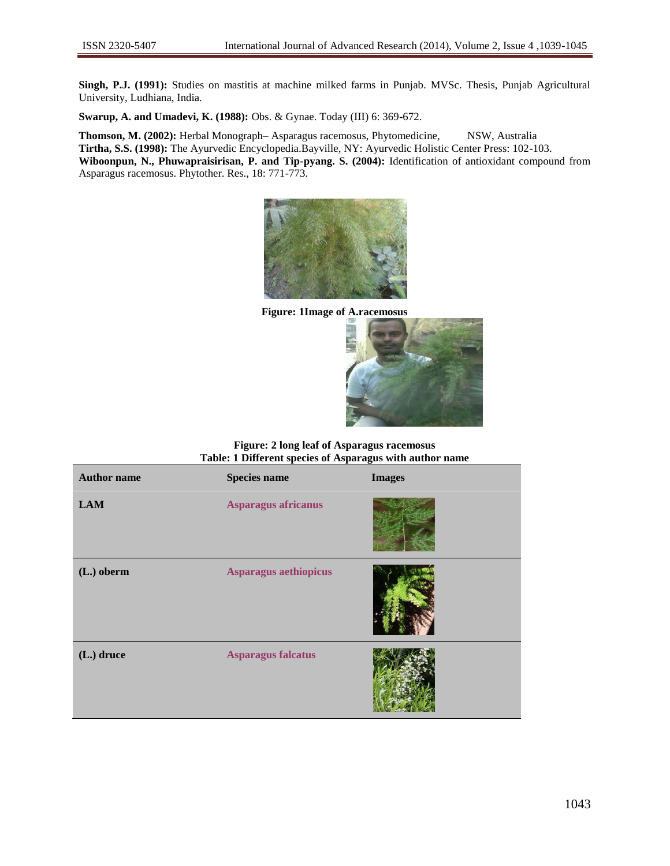**Singh, P.J. (1991):** Studies on mastitis at machine milked farms in Punjab. MVSc. Thesis, Punjab Agricultural University, Ludhiana, India.

**Swarup, A. and Umadevi, K. (1988):** Obs. & Gynae. Today (III) 6: 369-672.

**Thomson, M. (2002):** Herbal Monograph– Asparagus racemosus, Phytomedicine, NSW, Australia **Tirtha, S.S. (1998):** The Ayurvedic Encyclopedia.Bayville, NY: Ayurvedic Holistic Center Press: 102-103. **Wiboonpun, N., Phuwapraisirisan, P. and Tip-pyang. S. (2004):** Identification of antioxidant compound from Asparagus racemosus. Phytother. Res., 18: 771-773.



**Figure: 1Image of A.racemosus**



**Figure: 2 long leaf of Asparagus racemosus Table: 1 Different species of Asparagus with author name**

| <b>Author name</b> | <b>Species name</b>       | <b>Images</b> |
|--------------------|---------------------------|---------------|
| <b>LAM</b>         | Asparagus africanus       |               |
| (L.) oberm         | Asparagus aethiopicus     |               |
| (L.) druce         | <b>Asparagus falcatus</b> |               |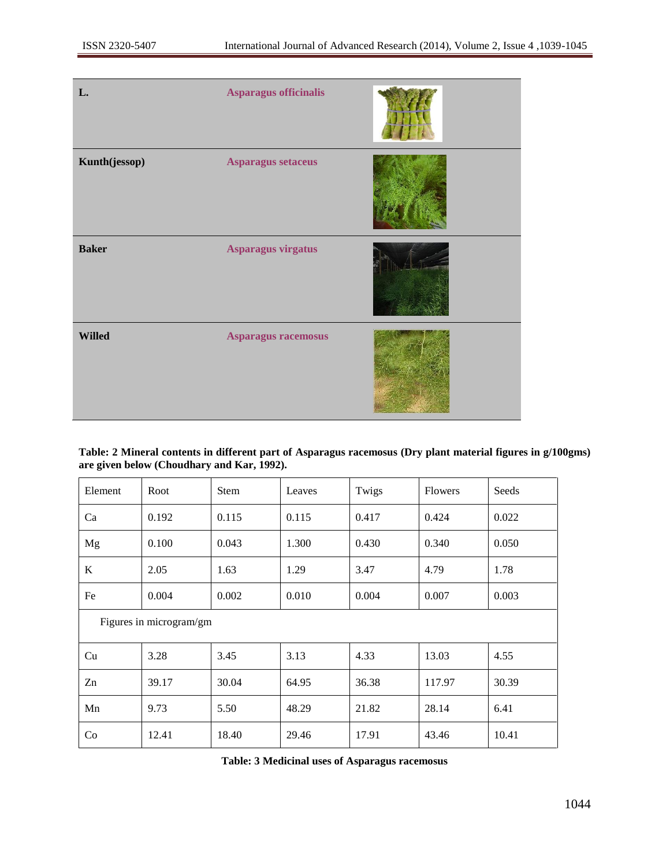| L.            | Asparagus officinalis |  |
|---------------|-----------------------|--|
| Kunth(jessop) | Asparagus setaceus    |  |
| <b>Baker</b>  | Asparagus virgatus    |  |
| <b>Willed</b> | Asparagus racemosus   |  |

**Table: 2 Mineral contents in different part of Asparagus racemosus (Dry plant material figures in g/100gms) are given below (Choudhary and Kar, 1992).**

| Element                 | Root  | <b>Stem</b> | Leaves | Twigs | <b>Flowers</b> | Seeds |
|-------------------------|-------|-------------|--------|-------|----------------|-------|
| Ca                      | 0.192 | 0.115       | 0.115  | 0.417 | 0.424          | 0.022 |
| Mg                      | 0.100 | 0.043       | 1.300  | 0.430 | 0.340          | 0.050 |
| K                       | 2.05  | 1.63        | 1.29   | 3.47  | 4.79           | 1.78  |
| Fe                      | 0.004 | 0.002       | 0.010  | 0.004 | 0.007          | 0.003 |
| Figures in microgram/gm |       |             |        |       |                |       |
| Cu                      | 3.28  | 3.45        | 3.13   | 4.33  | 13.03          | 4.55  |
| Zn                      | 39.17 | 30.04       | 64.95  | 36.38 | 117.97         | 30.39 |
| Mn                      | 9.73  | 5.50        | 48.29  | 21.82 | 28.14          | 6.41  |
| Co                      | 12.41 | 18.40       | 29.46  | 17.91 | 43.46          | 10.41 |

**Table: 3 Medicinal uses of Asparagus racemosus**